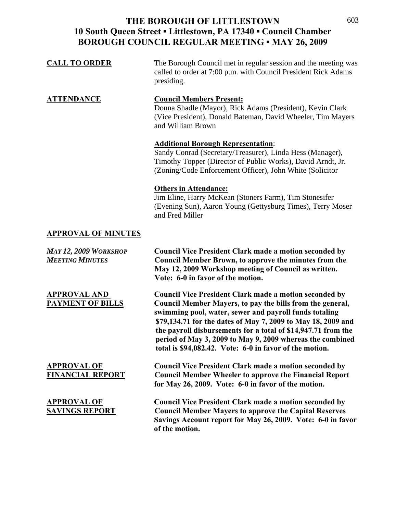| <b>CALL TO ORDER</b>                                   | The Borough Council met in regular session and the meeting was<br>called to order at 7:00 p.m. with Council President Rick Adams<br>presiding.                                                                                                                                                                                                                                                                                                |
|--------------------------------------------------------|-----------------------------------------------------------------------------------------------------------------------------------------------------------------------------------------------------------------------------------------------------------------------------------------------------------------------------------------------------------------------------------------------------------------------------------------------|
| <b>ATTENDANCE</b>                                      | <b>Council Members Present:</b><br>Donna Shadle (Mayor), Rick Adams (President), Kevin Clark<br>(Vice President), Donald Bateman, David Wheeler, Tim Mayers<br>and William Brown                                                                                                                                                                                                                                                              |
|                                                        | <b>Additional Borough Representation:</b><br>Sandy Conrad (Secretary/Treasurer), Linda Hess (Manager),<br>Timothy Topper (Director of Public Works), David Arndt, Jr.<br>(Zoning/Code Enforcement Officer), John White (Solicitor)                                                                                                                                                                                                            |
|                                                        | <b>Others in Attendance:</b><br>Jim Eline, Harry McKean (Stoners Farm), Tim Stonesifer<br>(Evening Sun), Aaron Young (Gettysburg Times), Terry Moser<br>and Fred Miller                                                                                                                                                                                                                                                                       |
| <b>APPROVAL OF MINUTES</b>                             |                                                                                                                                                                                                                                                                                                                                                                                                                                               |
| <b>MAY 12, 2009 WORKSHOP</b><br><b>MEETING MINUTES</b> | <b>Council Vice President Clark made a motion seconded by</b>                                                                                                                                                                                                                                                                                                                                                                                 |
|                                                        | <b>Council Member Brown, to approve the minutes from the</b><br>May 12, 2009 Workshop meeting of Council as written.<br>Vote: 6-0 in favor of the motion.                                                                                                                                                                                                                                                                                     |
| <b>APPROVAL AND</b><br><b>PAYMENT OF BILLS</b>         | <b>Council Vice President Clark made a motion seconded by</b><br>Council Member Mayers, to pay the bills from the general,<br>swimming pool, water, sewer and payroll funds totaling<br>\$79,134.71 for the dates of May 7, 2009 to May 18, 2009 and<br>the payroll disbursements for a total of \$14,947.71 from the<br>period of May 3, 2009 to May 9, 2009 whereas the combined<br>total is \$94,082.42. Vote: 6-0 in favor of the motion. |
| <u>APPROVAL OF</u><br><b>FINANCIAL REPORT</b>          | <b>Council Vice President Clark made a motion seconded by</b><br><b>Council Member Wheeler to approve the Financial Report</b><br>for May 26, 2009. Vote: 6-0 in favor of the motion.                                                                                                                                                                                                                                                         |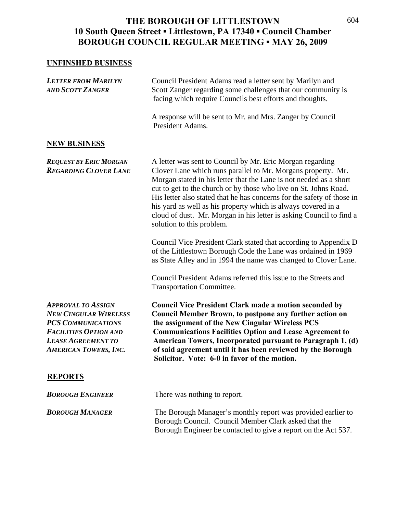#### **UNFINSHED BUSINESS**

| <b>LETTER FROM MARILYN</b><br><b>AND SCOTT ZANGER</b>                                                                                                                               | Council President Adams read a letter sent by Marilyn and<br>Scott Zanger regarding some challenges that our community is<br>facing which require Councils best efforts and thoughts.                                                                                                                                                                                                                                                                                                                              |
|-------------------------------------------------------------------------------------------------------------------------------------------------------------------------------------|--------------------------------------------------------------------------------------------------------------------------------------------------------------------------------------------------------------------------------------------------------------------------------------------------------------------------------------------------------------------------------------------------------------------------------------------------------------------------------------------------------------------|
|                                                                                                                                                                                     | A response will be sent to Mr. and Mrs. Zanger by Council<br>President Adams.                                                                                                                                                                                                                                                                                                                                                                                                                                      |
| <b>NEW BUSINESS</b>                                                                                                                                                                 |                                                                                                                                                                                                                                                                                                                                                                                                                                                                                                                    |
| <b>REQUEST BY ERIC MORGAN</b><br><b>REGARDING CLOVER LANE</b>                                                                                                                       | A letter was sent to Council by Mr. Eric Morgan regarding<br>Clover Lane which runs parallel to Mr. Morgans property. Mr.<br>Morgan stated in his letter that the Lane is not needed as a short<br>cut to get to the church or by those who live on St. Johns Road.<br>His letter also stated that he has concerns for the safety of those in<br>his yard as well as his property which is always covered in a<br>cloud of dust. Mr. Morgan in his letter is asking Council to find a<br>solution to this problem. |
|                                                                                                                                                                                     | Council Vice President Clark stated that according to Appendix D<br>of the Littlestown Borough Code the Lane was ordained in 1969<br>as State Alley and in 1994 the name was changed to Clover Lane.                                                                                                                                                                                                                                                                                                               |
|                                                                                                                                                                                     | Council President Adams referred this issue to the Streets and<br>Transportation Committee.                                                                                                                                                                                                                                                                                                                                                                                                                        |
| <b>APPROVAL TO ASSIGN</b><br><b>NEW CINGULAR WIRELESS</b><br><b>PCS COMMUNICATIONS</b><br><b>FACILITIES OPTION AND</b><br><b>LEASE AGREEMENT TO</b><br><b>AMERICAN TOWERS, INC.</b> | <b>Council Vice President Clark made a motion seconded by</b><br><b>Council Member Brown, to postpone any further action on</b><br>the assignment of the New Cingular Wireless PCS<br><b>Communications Facilities Option and Lease Agreement to</b><br>American Towers, Incorporated pursuant to Paragraph 1, (d)<br>of said agreement until it has been reviewed by the Borough<br>Solicitor. Vote: 6-0 in favor of the motion.                                                                                  |
| <b>REPORTS</b>                                                                                                                                                                      |                                                                                                                                                                                                                                                                                                                                                                                                                                                                                                                    |
| <b>BOROUGH ENGINEER</b>                                                                                                                                                             | There was nothing to report.                                                                                                                                                                                                                                                                                                                                                                                                                                                                                       |
| <b>BOROUGH MANAGER</b>                                                                                                                                                              | The Borough Manager's monthly report was provided earlier to<br>Borough Council. Council Member Clark asked that the<br>Borough Engineer be contacted to give a report on the Act 537.                                                                                                                                                                                                                                                                                                                             |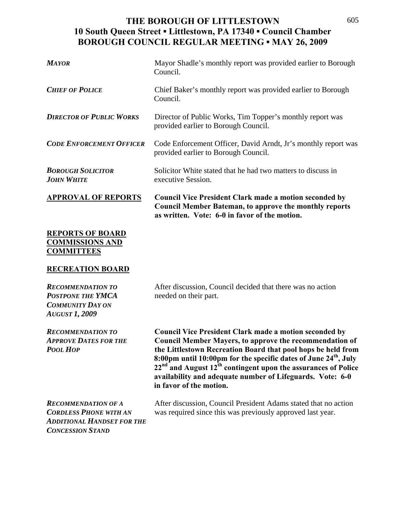| <b>MAYOR</b>                                  | Mayor Shadle's monthly report was provided earlier to Borough<br>Council.                                                                                                       |
|-----------------------------------------------|---------------------------------------------------------------------------------------------------------------------------------------------------------------------------------|
| <b>CHIEF OF POLICE</b>                        | Chief Baker's monthly report was provided earlier to Borough<br>Council.                                                                                                        |
| <b>DIRECTOR OF PUBLIC WORKS</b>               | Director of Public Works, Tim Topper's monthly report was<br>provided earlier to Borough Council.                                                                               |
| <b>CODE ENFORCEMENT OFFICER</b>               | Code Enforcement Officer, David Arndt, Jr's monthly report was<br>provided earlier to Borough Council.                                                                          |
| <b>BOROUGH SOLICITOR</b><br><b>JOHN WHITE</b> | Solicitor White stated that he had two matters to discuss in<br>executive Session.                                                                                              |
| <b>APPROVAL OF REPORTS</b>                    | <b>Council Vice President Clark made a motion seconded by</b><br><b>Council Member Bateman, to approve the monthly reports</b><br>as written. Vote: 6-0 in favor of the motion. |
| <b>REPORTS OF BOARD</b>                       |                                                                                                                                                                                 |

# **COMMISSIONS AND COMMITTEES**

#### **RECREATION BOARD**

*POSTPONE THE YMCA* needed on their part. *COMMUNITY DAY ON AUGUST 1, 2009*

*RECOMMENDATION TO* After discussion, Council decided that there was no action

*RECOMMENDATION TO* **Council Vice President Clark made a motion seconded by**  *APPROVE DATES FOR THE* **Council Member Mayers, to approve the recommendation of**  *POOL HOP* **the Littlestown Recreation Board that pool hops be held from 8:00pm until 10:00pm for the specific dates of June 24th, July 22nd and August 12th contingent upon the assurances of Police availability and adequate number of Lifeguards. Vote: 6-0 in favor of the motion.** 

*ADDITIONAL HANDSET FOR THE CONCESSION STAND*

*RECOMMENDATION OF A* After discussion, Council President Adams stated that no action *CORDLESS PHONE WITH AN* was required since this was previously approved last year.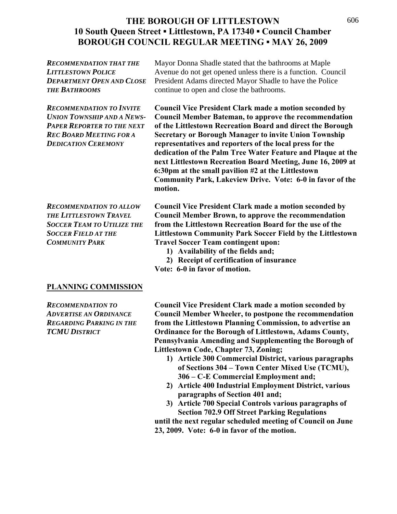| <b>RECOMMENDATION THAT THE</b>   | Mayor Donna Shadle stated that the bathrooms at Maple        |
|----------------------------------|--------------------------------------------------------------|
| <b>LITTLESTOWN POLICE</b>        | Avenue do not get opened unless there is a function. Council |
| <b>DEPARTMENT OPEN AND CLOSE</b> | President Adams directed Mayor Shadle to have the Police     |
| <b>THE BATHROOMS</b>             | continue to open and close the bathrooms.                    |
|                                  |                                                              |

*RECOMMENDATION TO INVITE* **Council Vice President Clark made a motion seconded by**  *UNION TOWNSHIP AND A NEWS-* **Council Member Bateman, to approve the recommendation**  *PAPER REPORTER TO THE NEXT* **of the Littlestown Recreation Board and direct the Borough**  *REC BOARD MEETING FOR A* **Secretary or Borough Manager to invite Union Township**  *DEDICATION CEREMONY* **representatives and reporters of the local press for the dedication of the Palm Tree Water Feature and Plaque at the next Littlestown Recreation Board Meeting, June 16, 2009 at 6:30pm at the small pavilion #2 at the Littlestown Community Park, Lakeview Drive. Vote: 6-0 in favor of the motion.** 

*RECOMMENDATION TO ALLOW* **Council Vice President Clark made a motion seconded by**  *THE LITTLESTOWN TRAVEL* **Council Member Brown, to approve the recommendation**  *SOCCER TEAM TO UTILIZE THE* **from the Littlestown Recreation Board for the use of the**  *SOCCER FIELD AT THE* **Littlestown Community Park Soccer Field by the Littlestown**  *COMMUNITY PARK* **Travel Soccer Team contingent upon:** 

- **1) Availability of the fields and;**
- **2) Receipt of certification of insurance**
- **Vote: 6-0 in favor of motion.**

#### **PLANNING COMMISSION**

*RECOMMENDATION TO* **Council Vice President Clark made a motion seconded by**  *ADVERTISE AN ORDINANCE* **Council Member Wheeler, to postpone the recommendation**  *REGARDING PARKING IN THE* **from the Littlestown Planning Commission, to advertise an**  *TCMU DISTRICT* **Ordinance for the Borough of Littlestown, Adams County, Pennsylvania Amending and Supplementing the Borough of Littlestown Code, Chapter 73, Zoning;** 

- **1) Article 300 Commercial District, various paragraphs of Sections 304 – Town Center Mixed Use (TCMU), 306 – C-E Commercial Employment and;**
- **2) Article 400 Industrial Employment District, various paragraphs of Section 401 and;**
- **3) Article 700 Special Controls various paragraphs of Section 702.9 Off Street Parking Regulations**

**until the next regular scheduled meeting of Council on June 23, 2009. Vote: 6-0 in favor of the motion.**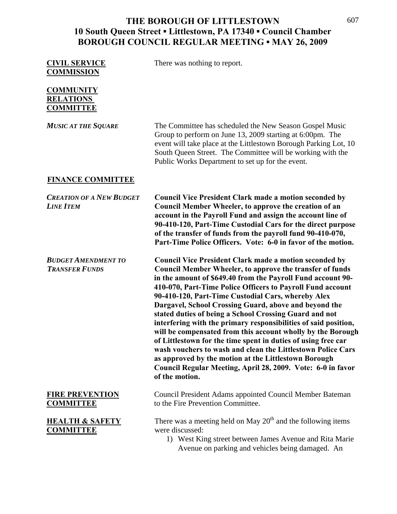| <b>CIVIL SERVICE</b><br><b>COMMISSION</b>                | There was nothing to report.                                                                                                                                                                                                                                                                                                                                                                                                                                                                                                                                                                                                                                                                                                                                                                                                                      |
|----------------------------------------------------------|---------------------------------------------------------------------------------------------------------------------------------------------------------------------------------------------------------------------------------------------------------------------------------------------------------------------------------------------------------------------------------------------------------------------------------------------------------------------------------------------------------------------------------------------------------------------------------------------------------------------------------------------------------------------------------------------------------------------------------------------------------------------------------------------------------------------------------------------------|
| <b>COMMUNITY</b><br><b>RELATIONS</b><br><b>COMMITTEE</b> |                                                                                                                                                                                                                                                                                                                                                                                                                                                                                                                                                                                                                                                                                                                                                                                                                                                   |
| <b>MUSIC AT THE SQUARE</b>                               | The Committee has scheduled the New Season Gospel Music<br>Group to perform on June 13, 2009 starting at 6:00pm. The<br>event will take place at the Littlestown Borough Parking Lot, 10<br>South Queen Street. The Committee will be working with the<br>Public Works Department to set up for the event.                                                                                                                                                                                                                                                                                                                                                                                                                                                                                                                                        |
| <b>FINANCE COMMITTEE</b>                                 |                                                                                                                                                                                                                                                                                                                                                                                                                                                                                                                                                                                                                                                                                                                                                                                                                                                   |
| <b>CREATION OF A NEW BUDGET</b><br><b>LINE ITEM</b>      | <b>Council Vice President Clark made a motion seconded by</b><br>Council Member Wheeler, to approve the creation of an<br>account in the Payroll Fund and assign the account line of<br>90-410-120, Part-Time Custodial Cars for the direct purpose<br>of the transfer of funds from the payroll fund 90-410-070,<br>Part-Time Police Officers. Vote: 6-0 in favor of the motion.                                                                                                                                                                                                                                                                                                                                                                                                                                                                 |
| <b>BUDGET AMENDMENT TO</b><br><b>TRANSFER FUNDS</b>      | <b>Council Vice President Clark made a motion seconded by</b><br><b>Council Member Wheeler, to approve the transfer of funds</b><br>in the amount of \$649.40 from the Payroll Fund account 90-<br>410-070, Part-Time Police Officers to Payroll Fund account<br>90-410-120, Part-Time Custodial Cars, whereby Alex<br>Dargavel, School Crossing Guard, above and beyond the<br>stated duties of being a School Crossing Guard and not<br>interfering with the primary responsibilities of said position,<br>will be compensated from this account wholly by the Borough<br>of Littlestown for the time spent in duties of using free car<br>wash vouchers to wash and clean the Littlestown Police Cars<br>as approved by the motion at the Littlestown Borough<br>Council Regular Meeting, April 28, 2009. Vote: 6-0 in favor<br>of the motion. |
| <b>FIRE PREVENTION</b><br><b>COMMITTEE</b>               | Council President Adams appointed Council Member Bateman<br>to the Fire Prevention Committee.                                                                                                                                                                                                                                                                                                                                                                                                                                                                                                                                                                                                                                                                                                                                                     |
| <b>HEALTH &amp; SAFETY</b><br><b>COMMITTEE</b>           | There was a meeting held on May $20th$ and the following items<br>were discussed:<br>1) West King street between James Avenue and Rita Marie                                                                                                                                                                                                                                                                                                                                                                                                                                                                                                                                                                                                                                                                                                      |

Avenue on parking and vehicles being damaged. An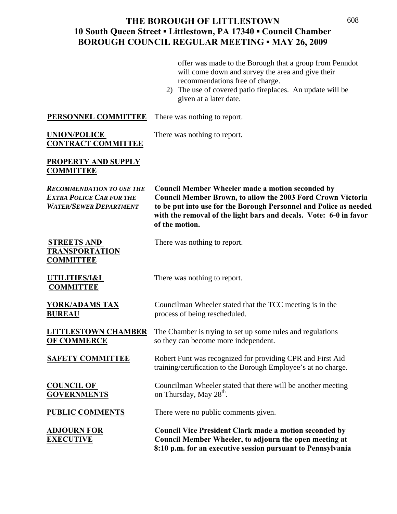offer was made to the Borough that a group from Penndot will come down and survey the area and give their recommendations free of charge.

2) The use of covered patio fireplaces. An update will be given at a later date.

**PERSONNEL COMMITTEE** There was nothing to report.

### **UNION/POLICE** There was nothing to report. **CONTRACT COMMITTEE**

#### **PROPERTY AND SUPPLY COMMITTEE**

| <b>RECOMMENDATION TO USE THE</b><br><b>EXTRA POLICE CAR FOR THE</b><br><b>WATER/SEWER DEPARTMENT</b> | <b>Council Member Wheeler made a motion seconded by</b><br><b>Council Member Brown, to allow the 2003 Ford Crown Victoria</b><br>to be put into use for the Borough Personnel and Police as needed<br>with the removal of the light bars and decals. Vote: 6-0 in favor<br>of the motion. |
|------------------------------------------------------------------------------------------------------|-------------------------------------------------------------------------------------------------------------------------------------------------------------------------------------------------------------------------------------------------------------------------------------------|
| <b>STREETS AND</b><br><b>TRANSPORTATION</b><br><b>COMMITTEE</b>                                      | There was nothing to report.                                                                                                                                                                                                                                                              |
| UTILITIES/I&I<br><b>COMMITTEE</b>                                                                    | There was nothing to report.                                                                                                                                                                                                                                                              |
| <b>YORK/ADAMS TAX</b><br><b>BUREAU</b>                                                               | Councilman Wheeler stated that the TCC meeting is in the<br>process of being rescheduled.                                                                                                                                                                                                 |
| <b>LITTLESTOWN CHAMBER</b><br><b>OF COMMERCE</b>                                                     | The Chamber is trying to set up some rules and regulations<br>so they can become more independent.                                                                                                                                                                                        |
| <b>SAFETY COMMITTEE</b>                                                                              | Robert Funt was recognized for providing CPR and First Aid<br>training/certification to the Borough Employee's at no charge.                                                                                                                                                              |
| <b>COUNCIL OF</b><br><b>GOVERNMENTS</b>                                                              | Councilman Wheeler stated that there will be another meeting<br>on Thursday, May 28 <sup>th</sup> .                                                                                                                                                                                       |
| <b>PUBLIC COMMENTS</b>                                                                               | There were no public comments given.                                                                                                                                                                                                                                                      |
| <b>ADJOURN FOR</b><br><b>EXECUTIVE</b>                                                               | <b>Council Vice President Clark made a motion seconded by</b><br>Council Member Wheeler, to adjourn the open meeting at<br>8:10 p.m. for an executive session pursuant to Pennsylvania                                                                                                    |